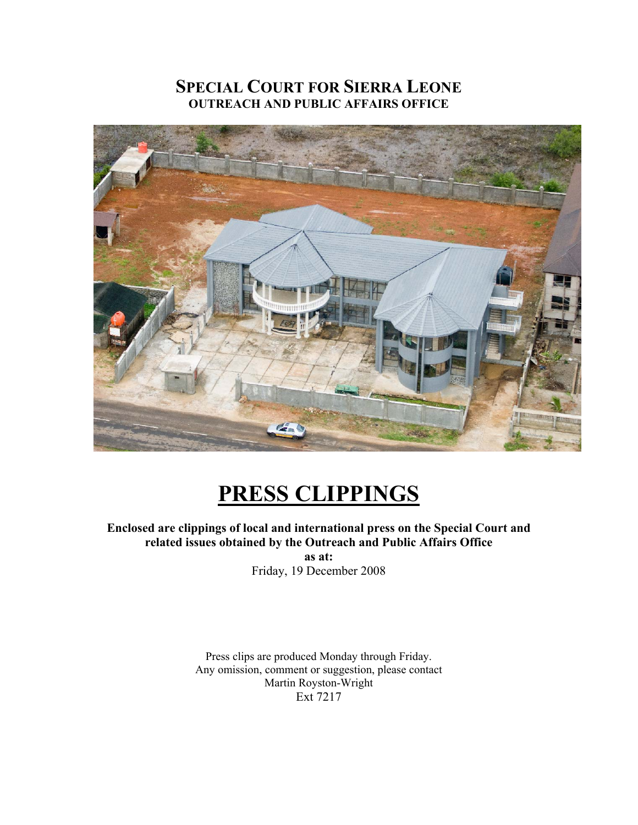# **SPECIAL COURT FOR SIERRA LEONE OUTREACH AND PUBLIC AFFAIRS OFFICE**



# **PRESS CLIPPINGS**

**Enclosed are clippings of local and international press on the Special Court and related issues obtained by the Outreach and Public Affairs Office as at:** 

Friday, 19 December 2008

Press clips are produced Monday through Friday. Any omission, comment or suggestion, please contact Martin Royston-Wright Ext 7217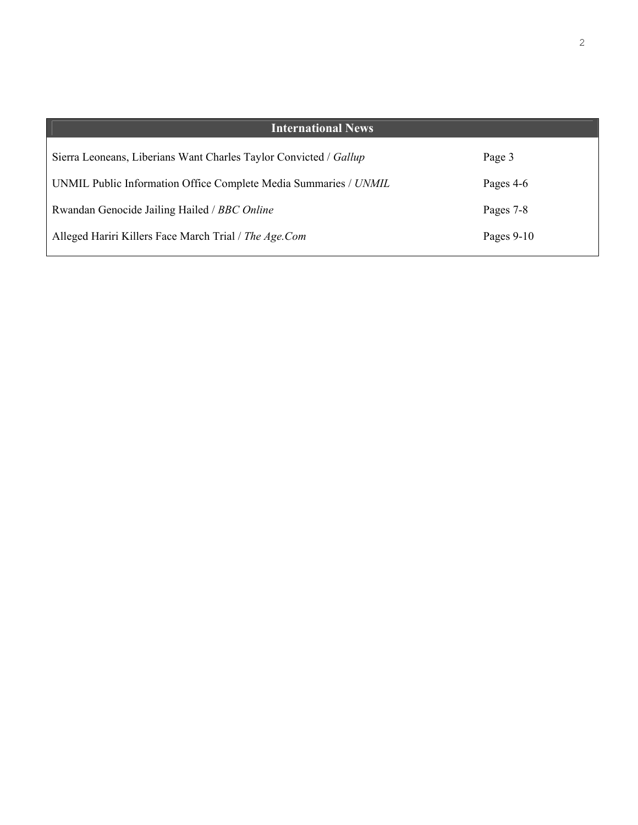| <b>International News</b>                                         |              |
|-------------------------------------------------------------------|--------------|
| Sierra Leoneans, Liberians Want Charles Taylor Convicted / Gallup | Page 3       |
| UNMIL Public Information Office Complete Media Summaries / UNMIL  | Pages 4-6    |
| Rwandan Genocide Jailing Hailed / BBC Online                      | Pages 7-8    |
| Alleged Hariri Killers Face March Trial / The Age.Com             | Pages $9-10$ |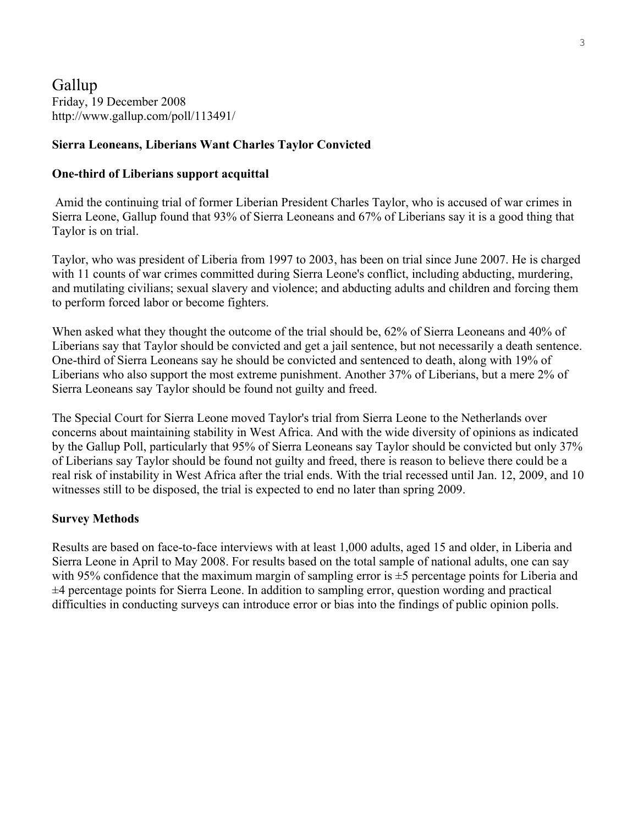Gallup Friday, 19 December 2008 http://www.gallup.com/poll/113491/

### **Sierra Leoneans, Liberians Want Charles Taylor Convicted**

### **One-third of Liberians support acquittal**

 Amid the continuing trial of former Liberian President Charles Taylor, who is accused of war crimes in Sierra Leone, Gallup found that 93% of Sierra Leoneans and 67% of Liberians say it is a good thing that Taylor is on trial.

Taylor, who was president of Liberia from 1997 to 2003, has been on trial since June 2007. He is charged with 11 counts of war crimes committed during Sierra Leone's conflict, including abducting, murdering, and mutilating civilians; sexual slavery and violence; and abducting adults and children and forcing them to perform forced labor or become fighters.

When asked what they thought the outcome of the trial should be, 62% of Sierra Leoneans and 40% of Liberians say that Taylor should be convicted and get a jail sentence, but not necessarily a death sentence. One-third of Sierra Leoneans say he should be convicted and sentenced to death, along with 19% of Liberians who also support the most extreme punishment. Another 37% of Liberians, but a mere 2% of Sierra Leoneans say Taylor should be found not guilty and freed.

The Special Court for Sierra Leone moved Taylor's trial from Sierra Leone to the Netherlands over concerns about maintaining stability in West Africa. And with the wide diversity of opinions as indicated by the Gallup Poll, particularly that 95% of Sierra Leoneans say Taylor should be convicted but only 37% of Liberians say Taylor should be found not guilty and freed, there is reason to believe there could be a real risk of instability in West Africa after the trial ends. With the trial recessed until Jan. 12, 2009, and 10 witnesses still to be disposed, the trial is expected to end no later than spring 2009.

### **Survey Methods**

Results are based on face-to-face interviews with at least 1,000 adults, aged 15 and older, in Liberia and Sierra Leone in April to May 2008. For results based on the total sample of national adults, one can say with 95% confidence that the maximum margin of sampling error is  $\pm$ 5 percentage points for Liberia and ±4 percentage points for Sierra Leone. In addition to sampling error, question wording and practical difficulties in conducting surveys can introduce error or bias into the findings of public opinion polls.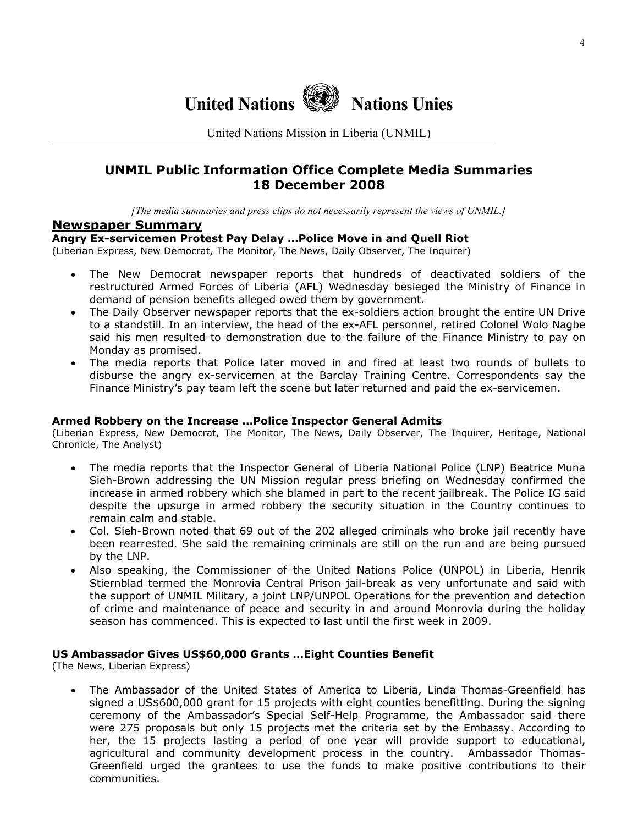

United Nations Mission in Liberia (UNMIL)

# **UNMIL Public Information Office Complete Media Summaries 18 December 2008**

*[The media summaries and press clips do not necessarily represent the views of UNMIL.]*

### **Newspaper Summary**

### **Angry Ex-servicemen Protest Pay Delay …Police Move in and Quell Riot**

(Liberian Express, New Democrat, The Monitor, The News, Daily Observer, The Inquirer)

- The New Democrat newspaper reports that hundreds of deactivated soldiers of the restructured Armed Forces of Liberia (AFL) Wednesday besieged the Ministry of Finance in demand of pension benefits alleged owed them by government.
- The Daily Observer newspaper reports that the ex-soldiers action brought the entire UN Drive to a standstill. In an interview, the head of the ex-AFL personnel, retired Colonel Wolo Nagbe said his men resulted to demonstration due to the failure of the Finance Ministry to pay on Monday as promised.
- The media reports that Police later moved in and fired at least two rounds of bullets to disburse the angry ex-servicemen at the Barclay Training Centre. Correspondents say the Finance Ministry's pay team left the scene but later returned and paid the ex-servicemen.

#### **Armed Robbery on the Increase …Police Inspector General Admits**

(Liberian Express, New Democrat, The Monitor, The News, Daily Observer, The Inquirer, Heritage, National Chronicle, The Analyst)

- The media reports that the Inspector General of Liberia National Police (LNP) Beatrice Muna Sieh-Brown addressing the UN Mission regular press briefing on Wednesday confirmed the increase in armed robbery which she blamed in part to the recent jailbreak. The Police IG said despite the upsurge in armed robbery the security situation in the Country continues to remain calm and stable.
- Col. Sieh-Brown noted that 69 out of the 202 alleged criminals who broke jail recently have been rearrested. She said the remaining criminals are still on the run and are being pursued by the LNP.
- Also speaking, the Commissioner of the United Nations Police (UNPOL) in Liberia, Henrik Stiernblad termed the Monrovia Central Prison jail-break as very unfortunate and said with the support of UNMIL Military, a joint LNP/UNPOL Operations for the prevention and detection of crime and maintenance of peace and security in and around Monrovia during the holiday season has commenced. This is expected to last until the first week in 2009.

### **US Ambassador Gives US\$60,000 Grants …Eight Counties Benefit**

(The News, Liberian Express)

• The Ambassador of the United States of America to Liberia, Linda Thomas-Greenfield has signed a US\$600,000 grant for 15 projects with eight counties benefitting. During the signing ceremony of the Ambassador's Special Self-Help Programme, the Ambassador said there were 275 proposals but only 15 projects met the criteria set by the Embassy. According to her, the 15 projects lasting a period of one year will provide support to educational, agricultural and community development process in the country. Ambassador Thomas-Greenfield urged the grantees to use the funds to make positive contributions to their communities.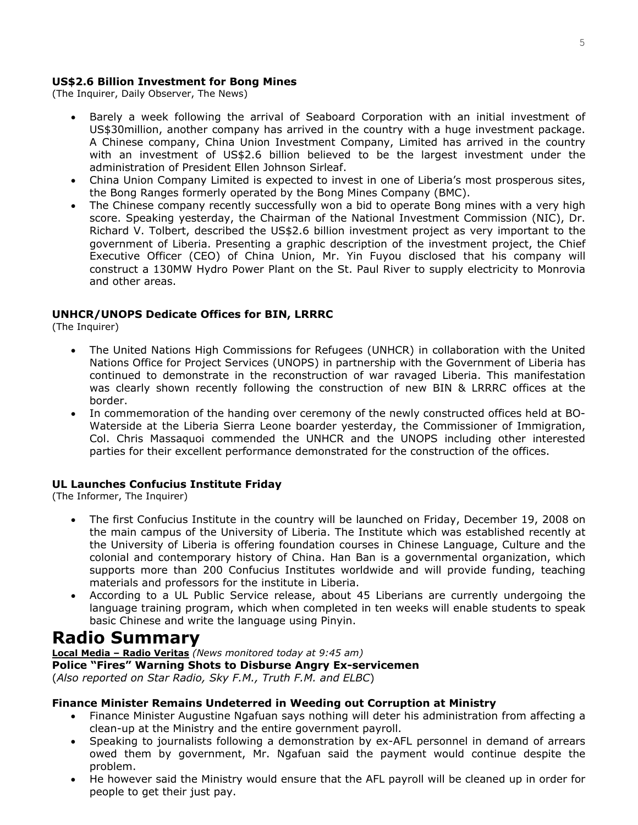### **US\$2.6 Billion Investment for Bong Mines**

(The Inquirer, Daily Observer, The News)

- Barely a week following the arrival of Seaboard Corporation with an initial investment of US\$30million, another company has arrived in the country with a huge investment package. A Chinese company, China Union Investment Company, Limited has arrived in the country with an investment of US\$2.6 billion believed to be the largest investment under the administration of President Ellen Johnson Sirleaf.
- China Union Company Limited is expected to invest in one of Liberia's most prosperous sites, the Bong Ranges formerly operated by the Bong Mines Company (BMC).
- The Chinese company recently successfully won a bid to operate Bong mines with a very high score. Speaking yesterday, the Chairman of the National Investment Commission (NIC), Dr. Richard V. Tolbert, described the US\$2.6 billion investment project as very important to the government of Liberia. Presenting a graphic description of the investment project, the Chief Executive Officer (CEO) of China Union, Mr. Yin Fuyou disclosed that his company will construct a 130MW Hydro Power Plant on the St. Paul River to supply electricity to Monrovia and other areas.

### **UNHCR/UNOPS Dedicate Offices for BIN, LRRRC**

(The Inquirer)

- The United Nations High Commissions for Refugees (UNHCR) in collaboration with the United Nations Office for Project Services (UNOPS) in partnership with the Government of Liberia has continued to demonstrate in the reconstruction of war ravaged Liberia. This manifestation was clearly shown recently following the construction of new BIN & LRRRC offices at the border.
- In commemoration of the handing over ceremony of the newly constructed offices held at BO-Waterside at the Liberia Sierra Leone boarder yesterday, the Commissioner of Immigration, Col. Chris Massaquoi commended the UNHCR and the UNOPS including other interested parties for their excellent performance demonstrated for the construction of the offices.

### **UL Launches Confucius Institute Friday**

(The Informer, The Inquirer)

- The first Confucius Institute in the country will be launched on Friday, December 19, 2008 on the main campus of the University of Liberia. The Institute which was established recently at the University of Liberia is offering foundation courses in Chinese Language, Culture and the colonial and contemporary history of China. Han Ban is a governmental organization, which supports more than 200 Confucius Institutes worldwide and will provide funding, teaching materials and professors for the institute in Liberia.
- According to a UL Public Service release, about 45 Liberians are currently undergoing the language training program, which when completed in ten weeks will enable students to speak basic Chinese and write the language using Pinyin.

# **Radio Summary**

**Local Media – Radio Veritas** *(News monitored today at 9:45 am)* **Police "Fires" Warning Shots to Disburse Angry Ex-servicemen**  (*Also reported on Star Radio, Sky F.M., Truth F.M. and ELBC*)

### **Finance Minister Remains Undeterred in Weeding out Corruption at Ministry**

- Finance Minister Augustine Ngafuan says nothing will deter his administration from affecting a clean-up at the Ministry and the entire government payroll.
- Speaking to journalists following a demonstration by ex-AFL personnel in demand of arrears owed them by government, Mr. Ngafuan said the payment would continue despite the problem.
- He however said the Ministry would ensure that the AFL payroll will be cleaned up in order for people to get their just pay.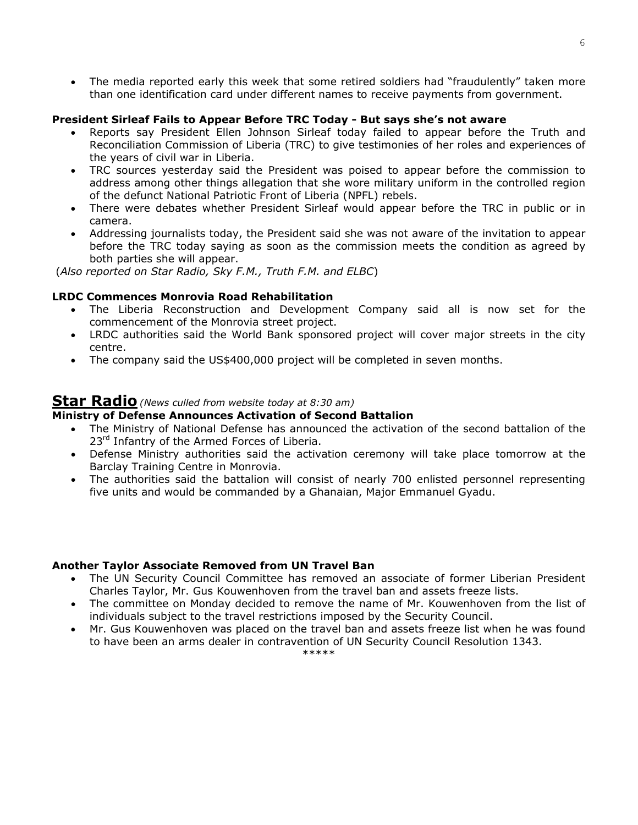• The media reported early this week that some retired soldiers had "fraudulently" taken more than one identification card under different names to receive payments from government.

### **President Sirleaf Fails to Appear Before TRC Today - But says she's not aware**

- Reports say President Ellen Johnson Sirleaf today failed to appear before the Truth and Reconciliation Commission of Liberia (TRC) to give testimonies of her roles and experiences of the years of civil war in Liberia.
- TRC sources yesterday said the President was poised to appear before the commission to address among other things allegation that she wore military uniform in the controlled region of the defunct National Patriotic Front of Liberia (NPFL) rebels.
- There were debates whether President Sirleaf would appear before the TRC in public or in camera.
- Addressing journalists today, the President said she was not aware of the invitation to appear before the TRC today saying as soon as the commission meets the condition as agreed by both parties she will appear.

(*Also reported on Star Radio, Sky F.M., Truth F.M. and ELBC*)

### **LRDC Commences Monrovia Road Rehabilitation**

- The Liberia Reconstruction and Development Company said all is now set for the commencement of the Monrovia street project.
- LRDC authorities said the World Bank sponsored project will cover major streets in the city centre.
- The company said the US\$400,000 project will be completed in seven months.

### **Star Radio***(News culled from website today at 8:30 am)*

### **Ministry of Defense Announces Activation of Second Battalion**

- The Ministry of National Defense has announced the activation of the second battalion of the 23<sup>rd</sup> Infantry of the Armed Forces of Liberia.
- Defense Ministry authorities said the activation ceremony will take place tomorrow at the Barclay Training Centre in Monrovia.
- The authorities said the battalion will consist of nearly 700 enlisted personnel representing five units and would be commanded by a Ghanaian, Major Emmanuel Gyadu.

### **Another Taylor Associate Removed from UN Travel Ban**

- The UN Security Council Committee has removed an associate of former Liberian President Charles Taylor, Mr. Gus Kouwenhoven from the travel ban and assets freeze lists.
- The committee on Monday decided to remove the name of Mr. Kouwenhoven from the list of individuals subject to the travel restrictions imposed by the Security Council.
- Mr. Gus Kouwenhoven was placed on the travel ban and assets freeze list when he was found to have been an arms dealer in contravention of UN Security Council Resolution 1343. \*\*\*\*\*

6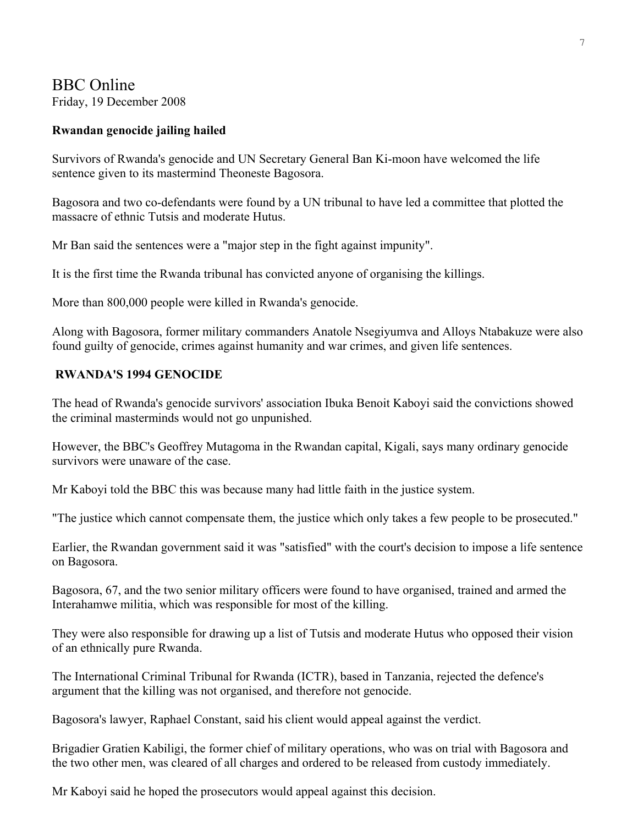# BBC Online Friday, 19 December 2008

### **Rwandan genocide jailing hailed**

Survivors of Rwanda's genocide and UN Secretary General Ban Ki-moon have welcomed the life sentence given to its mastermind Theoneste Bagosora.

Bagosora and two co-defendants were found by a UN tribunal to have led a committee that plotted the massacre of ethnic Tutsis and moderate Hutus.

Mr Ban said the sentences were a "major step in the fight against impunity".

It is the first time the Rwanda tribunal has convicted anyone of organising the killings.

More than 800,000 people were killed in Rwanda's genocide.

Along with Bagosora, former military commanders Anatole Nsegiyumva and Alloys Ntabakuze were also found guilty of genocide, crimes against humanity and war crimes, and given life sentences.

### **RWANDA'S 1994 GENOCIDE**

The head of Rwanda's genocide survivors' association Ibuka Benoit Kaboyi said the convictions showed the criminal masterminds would not go unpunished.

However, the BBC's Geoffrey Mutagoma in the Rwandan capital, Kigali, says many ordinary genocide survivors were unaware of the case.

Mr Kaboyi told the BBC this was because many had little faith in the justice system.

"The justice which cannot compensate them, the justice which only takes a few people to be prosecuted."

Earlier, the Rwandan government said it was "satisfied" with the court's decision to impose a life sentence on Bagosora.

Bagosora, 67, and the two senior military officers were found to have organised, trained and armed the Interahamwe militia, which was responsible for most of the killing.

They were also responsible for drawing up a list of Tutsis and moderate Hutus who opposed their vision of an ethnically pure Rwanda.

The International Criminal Tribunal for Rwanda (ICTR), based in Tanzania, rejected the defence's argument that the killing was not organised, and therefore not genocide.

Bagosora's lawyer, Raphael Constant, said his client would appeal against the verdict.

Brigadier Gratien Kabiligi, the former chief of military operations, who was on trial with Bagosora and the two other men, was cleared of all charges and ordered to be released from custody immediately.

Mr Kaboyi said he hoped the prosecutors would appeal against this decision.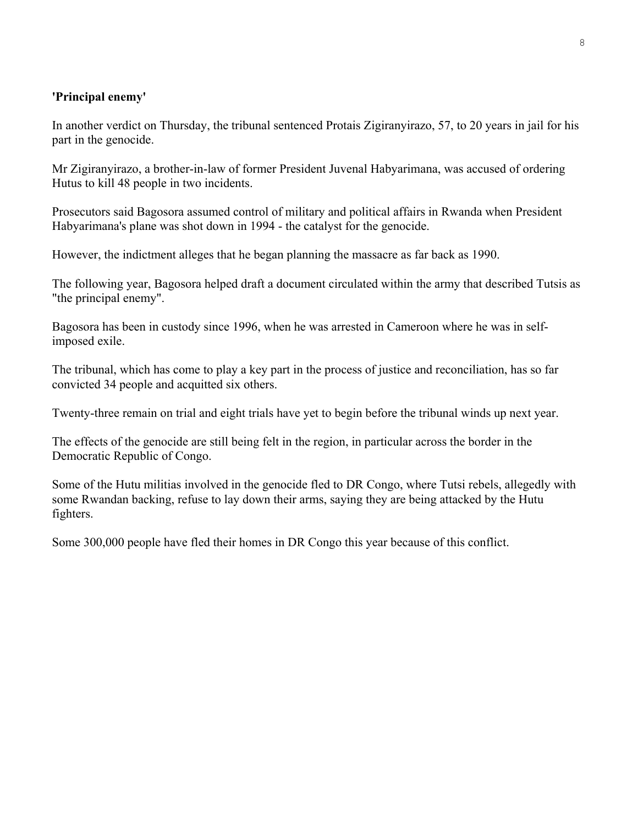## **'Principal enemy'**

In another verdict on Thursday, the tribunal sentenced Protais Zigiranyirazo, 57, to 20 years in jail for his part in the genocide.

Mr Zigiranyirazo, a brother-in-law of former President Juvenal Habyarimana, was accused of ordering Hutus to kill 48 people in two incidents.

Prosecutors said Bagosora assumed control of military and political affairs in Rwanda when President Habyarimana's plane was shot down in 1994 - the catalyst for the genocide.

However, the indictment alleges that he began planning the massacre as far back as 1990.

The following year, Bagosora helped draft a document circulated within the army that described Tutsis as "the principal enemy".

Bagosora has been in custody since 1996, when he was arrested in Cameroon where he was in selfimposed exile.

The tribunal, which has come to play a key part in the process of justice and reconciliation, has so far convicted 34 people and acquitted six others.

Twenty-three remain on trial and eight trials have yet to begin before the tribunal winds up next year.

The effects of the genocide are still being felt in the region, in particular across the border in the Democratic Republic of Congo.

Some of the Hutu militias involved in the genocide fled to DR Congo, where Tutsi rebels, allegedly with some Rwandan backing, refuse to lay down their arms, saying they are being attacked by the Hutu fighters.

Some 300,000 people have fled their homes in DR Congo this year because of this conflict.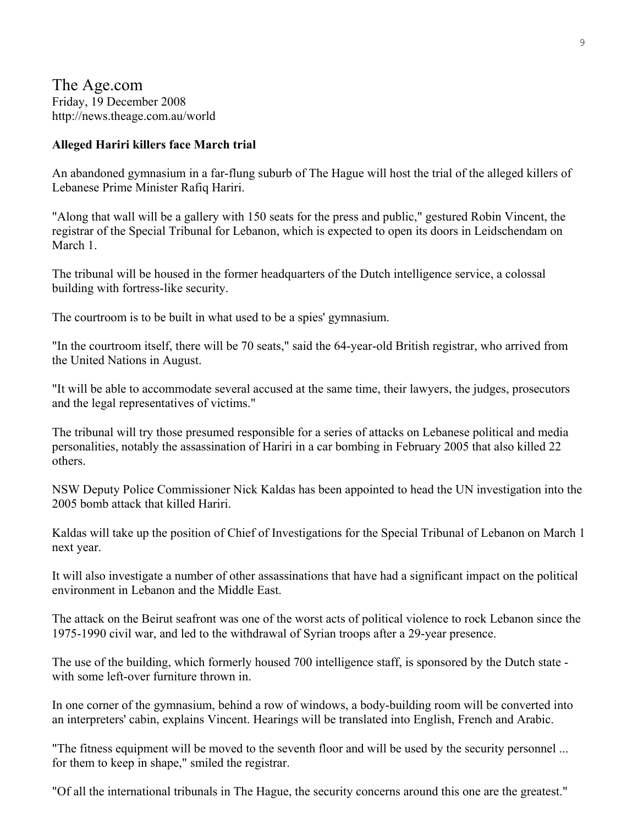The Age.com Friday, 19 December 2008 http://news.theage.com.au/world

### **Alleged Hariri killers face March trial**

An abandoned gymnasium in a far-flung suburb of The Hague will host the trial of the alleged killers of Lebanese Prime Minister Rafiq Hariri.

"Along that wall will be a gallery with 150 seats for the press and public," gestured Robin Vincent, the registrar of the Special Tribunal for Lebanon, which is expected to open its doors in Leidschendam on March 1

The tribunal will be housed in the former headquarters of the Dutch intelligence service, a colossal building with fortress-like security.

The courtroom is to be built in what used to be a spies' gymnasium.

"In the courtroom itself, there will be 70 seats," said the 64-year-old British registrar, who arrived from the United Nations in August.

"It will be able to accommodate several accused at the same time, their lawyers, the judges, prosecutors and the legal representatives of victims."

The tribunal will try those presumed responsible for a series of attacks on Lebanese political and media personalities, notably the assassination of Hariri in a car bombing in February 2005 that also killed 22 others.

NSW Deputy Police Commissioner Nick Kaldas has been appointed to head the UN investigation into the 2005 bomb attack that killed Hariri.

Kaldas will take up the position of Chief of Investigations for the Special Tribunal of Lebanon on March 1 next year.

It will also investigate a number of other assassinations that have had a significant impact on the political environment in Lebanon and the Middle East.

The attack on the Beirut seafront was one of the worst acts of political violence to rock Lebanon since the 1975-1990 civil war, and led to the withdrawal of Syrian troops after a 29-year presence.

The use of the building, which formerly housed 700 intelligence staff, is sponsored by the Dutch state with some left-over furniture thrown in.

In one corner of the gymnasium, behind a row of windows, a body-building room will be converted into an interpreters' cabin, explains Vincent. Hearings will be translated into English, French and Arabic.

"The fitness equipment will be moved to the seventh floor and will be used by the security personnel ... for them to keep in shape," smiled the registrar.

"Of all the international tribunals in The Hague, the security concerns around this one are the greatest."